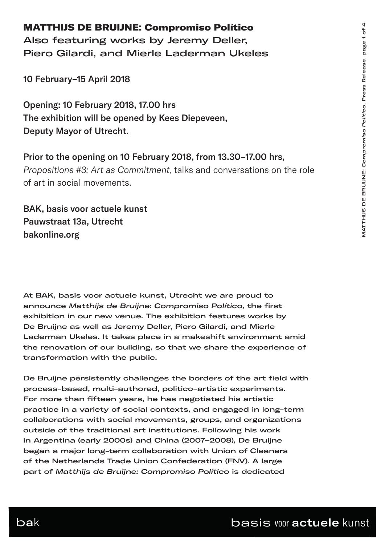#### MATTHIJS DE BRUIJNE: Compromiso Político

Also featuring works by Jeremy Deller, Piero Gilardi, and Mierle Laderman Ukeles

10 February–15 April 2018

Opening: 10 February 2018, 17.00 hrs The exhibition will be opened by Kees Diepeveen, Deputy Mayor of Utrecht.

Prior to the opening on 10 February 2018, from 13.30–17.00 hrs, *Propositions #3: Art as Commitment,* talks and conversations on the role of art in social movements.

BAK, basis voor actuele kunst Pauwstraat 13a, Utrecht bakonline.org

At BAK, basis voor actuele kunst, Utrecht we are proud to announce *Matthijs de Bruijne: Compromiso Político,* the first exhibition in our new venue. The exhibition features works by De Bruijne as well as Jeremy Deller, Piero Gilardi, and Mierle Laderman Ukeles. It takes place in a makeshift environment amid the renovation of our building, so that we share the experience of transformation with the public.

De Bruijne persistently challenges the borders of the art field with process-based, multi-authored, politico-artistic experiments. For more than fifteen years, he has negotiated his artistic practice in a variety of social contexts, and engaged in long-term collaborations with social movements, groups, and organizations outside of the traditional art institutions. Following his work in Argentina (early 2000s) and China (2007–2008), De Bruijne began a major long-term collaboration with Union of Cleaners of the Netherlands Trade Union Confederation (FNV). A large part of *Matthijs de Bruijne: Compromiso Político* is dedicated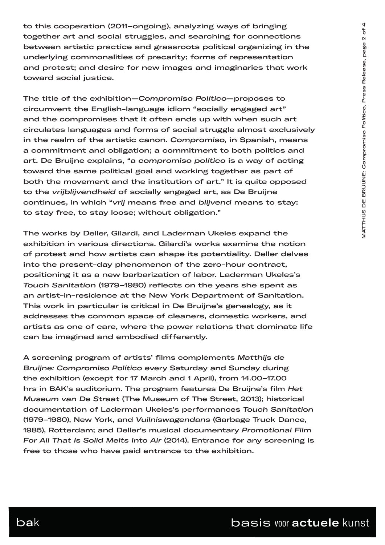to this cooperation (2011–ongoing), analyzing ways of bringing together art and social struggles, and searching for connections between artistic practice and grassroots political organizing in the underlying commonalities of precarity; forms of representation and protest; and desire for new images and imaginaries that work toward social justice.

The title of the exhibition—*Compromiso Político*—proposes to circumvent the English-language idiom "socially engaged art" and the compromises that it often ends up with when such art circulates languages and forms of social struggle almost exclusively in the realm of the artistic canon. *Compromiso,* in Spanish, means a commitment and obligation; a commitment to both politics and art. De Bruijne explains, "a *compromiso político* is a way of acting toward the same political goal and working together as part of both the movement and the institution of art." It is quite opposed to the *vrijblijvendheid* of socially engaged art, as De Bruijne continues, in which "*vrij* means free and *blijvend* means to stay: to stay free, to stay loose; without obligation."

The works by Deller, Gilardi, and Laderman Ukeles expand the exhibition in various directions. Gilardi's works examine the notion of protest and how artists can shape its potentiality. Deller delves into the present-day phenomenon of the zero-hour contract, positioning it as a new barbarization of labor. Laderman Ukeles's *Touch Sanitation* (1979–1980) reflects on the years she spent as an artist-in-residence at the New York Department of Sanitation. This work in particular is critical in De Bruijne's genealogy, as it addresses the common space of cleaners, domestic workers, and artists as one of care, where the power relations that dominate life can be imagined and embodied differently.

A screening program of artists' films complements *Matthijs de Bruijne: Compromiso Político* every Saturday and Sunday during the exhibition (except for 17 March and 1 April), from 14.00–17.00 hrs in BAK's auditorium. The program features De Bruijne's film *Het Museum van De Straat* (The Museum of The Street, 2013); historical documentation of Laderman Ukeles's performances *Touch Sanitation* (1979–1980), New York, and *Vuilniswagendans* (Garbage Truck Dance, 1985), Rotterdam; and Deller's musical documentary *Promotional Film For All That Is Solid Melts Into Air* (2014). Entrance for any screening is free to those who have paid entrance to the exhibition.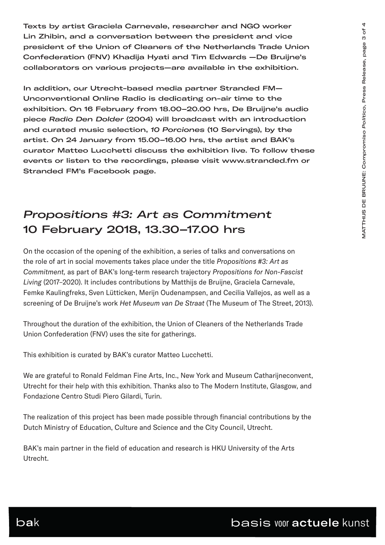Texts by artist Graciela Carnevale, researcher and NGO worker Lin Zhibin, and a conversation between the president and vice president of the Union of Cleaners of the Netherlands Trade Union Confederation (FNV) Khadija Hyati and Tim Edwards —De Bruijne's collaborators on various projects—are available in the exhibition.

In addition, our Utrecht-based media partner Stranded FM— Unconventional Online Radio is dedicating on-air time to the exhibition. On 16 February from 18.00–20.00 hrs, De Bruijne's audio piece *Radio Den Dolder* (2004) will broadcast with an introduction and curated music selection, *10 Porciones* (10 Servings), by the artist. On 24 January from 15.00–16.00 hrs, the artist and BAK's curator Matteo Lucchetti discuss the exhibition live. To follow these events or listen to the recordings, please visit www.stranded.fm or Stranded FM's Facebook page.

# *Propositions #3: Art as Commitment* 10 February 2018, 13.30–17.00 hrs

On the occasion of the opening of the exhibition, a series of talks and conversations on the role of art in social movements takes place under the title *Propositions #3: Art as Commitment,* as part of BAK's long-term research trajectory *Propositions for Non-Fascist Living* (2017–2020). It includes contributions by Matthijs de Bruijne, Graciela Carnevale, Femke Kaulingfreks, Sven Lütticken, Merijn Oudenampsen, and Cecilia Vallejos, as well as a screening of De Bruijne's work *Het Museum van De Straat* (The Museum of The Street, 2013).

Throughout the duration of the exhibition, the Union of Cleaners of the Netherlands Trade Union Confederation (FNV) uses the site for gatherings.

This exhibition is curated by BAK's curator Matteo Lucchetti.

We are grateful to Ronald Feldman Fine Arts, Inc., New York and Museum Catharijneconvent, Utrecht for their help with this exhibition. Thanks also to The Modern Institute, Glasgow, and Fondazione Centro Studi Piero Gilardi, Turin.

The realization of this project has been made possible through financial contributions by the Dutch Ministry of Education, Culture and Science and the City Council, Utrecht.

BAK's main partner in the field of education and research is HKU University of the Arts Utrecht.